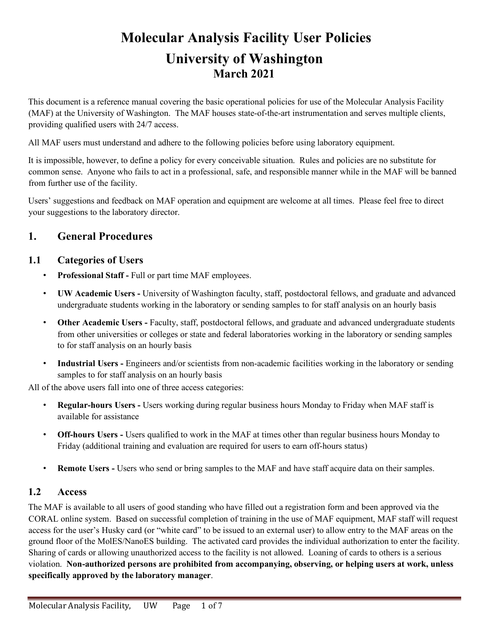# **Molecular Analysis Facility User Policies University of Washington March 2021**

This document is a reference manual covering the basic operational policies for use of the Molecular Analysis Facility (MAF) at the University of Washington. The MAF houses state-of-the-art instrumentation and serves multiple clients, providing qualified users with 24/7 access.

All MAF users must understand and adhere to the following policies before using laboratory equipment.

It is impossible, however, to define a policy for every conceivable situation. Rules and policies are no substitute for common sense. Anyone who fails to act in a professional, safe, and responsible manner while in the MAF will be banned from further use of the facility.

Users' suggestions and feedback on MAF operation and equipment are welcome at all times. Please feel free to direct your suggestions to the laboratory director.

## **1. General Procedures**

## **1.1 Categories of Users**

- **Professional Staff -** Full or part time MAF employees.
- **UW Academic Users -** University of Washington faculty, staff, postdoctoral fellows, and graduate and advanced undergraduate students working in the laboratory or sending samples to for staff analysis on an hourly basis
- **Other Academic Users -** Faculty, staff, postdoctoral fellows, and graduate and advanced undergraduate students from other universities or colleges or state and federal laboratories working in the laboratory or sending samples to for staff analysis on an hourly basis
- **Industrial Users -** Engineers and/or scientists from non-academic facilities working in the laboratory or sending samples to for staff analysis on an hourly basis

All of the above users fall into one of three access categories:

- **Regular-hours Users -** Users working during regular business hours Monday to Friday when MAF staff is available for assistance
- **Off-hours Users -** Users qualified to work in the MAF at times other than regular business hours Monday to Friday (additional training and evaluation are required for users to earn off-hours status)
- **Remote Users -** Users who send or bring samples to the MAF and have staff acquire data on their samples.

## **1.2 Access**

The MAF is available to all users of good standing who have filled out a registration form and been approved via the CORAL online system. Based on successful completion of training in the use of MAF equipment, MAF staff will request access for the user's Husky card (or "white card" to be issued to an external user) to allow entry to the MAF areas on the ground floor of the MolES/NanoES building. The activated card provides the individual authorization to enter the facility. Sharing of cards or allowing unauthorized access to the facility is not allowed. Loaning of cards to others is a serious violation. **Non-authorized persons are prohibited from accompanying, observing, or helping users at work, unless specifically approved by the laboratory manager**.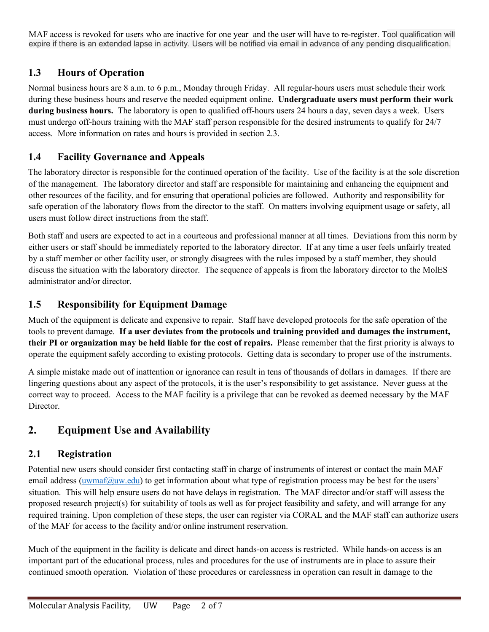MAF access is revoked for users who are inactive for one year and the user will have to re-register. Tool qualification will expire if there is an extended lapse in activity. Users will be notified via email in advance of any pending disqualification.

# **1.3 Hours of Operation**

Normal business hours are 8 a.m. to 6 p.m., Monday through Friday. All regular-hours users must schedule their work during these business hours and reserve the needed equipment online. **Undergraduate users must perform their work during business hours.** The laboratory is open to qualified off-hours users 24 hours a day, seven days a week. Users must undergo off-hours training with the MAF staff person responsible for the desired instruments to qualify for 24/7 access. More information on rates and hours is provided in section 2.3.

# **1.4 Facility Governance and Appeals**

The laboratory director is responsible for the continued operation of the facility. Use of the facility is at the sole discretion of the management. The laboratory director and staff are responsible for maintaining and enhancing the equipment and other resources of the facility, and for ensuring that operational policies are followed. Authority and responsibility for safe operation of the laboratory flows from the director to the staff. On matters involving equipment usage or safety, all users must follow direct instructions from the staff.

Both staff and users are expected to act in a courteous and professional manner at all times. Deviations from this norm by either users or staff should be immediately reported to the laboratory director. If at any time a user feels unfairly treated by a staff member or other facility user, or strongly disagrees with the rules imposed by a staff member, they should discuss the situation with the laboratory director. The sequence of appeals is from the laboratory director to the MolES administrator and/or director.

## **1.5 Responsibility for Equipment Damage**

Much of the equipment is delicate and expensive to repair. Staff have developed protocols for the safe operation of the tools to prevent damage. **If a user deviates from the protocols and training provided and damages the instrument, their PI or organization may be held liable for the cost of repairs.** Please remember that the first priority is always to operate the equipment safely according to existing protocols. Getting data is secondary to proper use of the instruments.

A simple mistake made out of inattention or ignorance can result in tens of thousands of dollars in damages. If there are lingering questions about any aspect of the protocols, it is the user's responsibility to get assistance. Never guess at the correct way to proceed. Access to the MAF facility is a privilege that can be revoked as deemed necessary by the MAF Director.

# **2. Equipment Use and Availability**

# **2.1 Registration**

Potential new users should consider first contacting staff in charge of instruments of interest or contact the main MAF email address (uwmaf $@$ uw.edu) to get information about what type of registration process may be best for the users' situation. This will help ensure users do not have delays in registration. The MAF director and/or staff will assess the proposed research project(s) for suitability of tools as well as for project feasibility and safety, and will arrange for any required training. Upon completion of these steps, the user can register via CORAL and the MAF staff can authorize users of the MAF for access to the facility and/or online instrument reservation.

Much of the equipment in the facility is delicate and direct hands-on access is restricted. While hands-on access is an important part of the educational process, rules and procedures for the use of instruments are in place to assure their continued smooth operation. Violation of these procedures or carelessness in operation can result in damage to the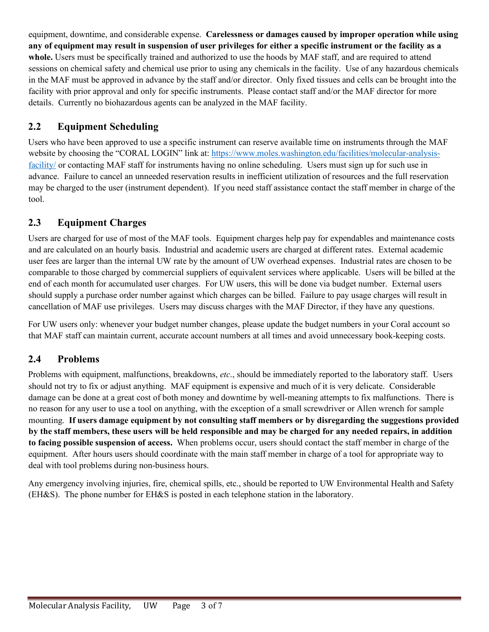equipment, downtime, and considerable expense. **Carelessness or damages caused by improper operation while using any of equipment may result in suspension of user privileges for either a specific instrument or the facility as a**  whole. Users must be specifically trained and authorized to use the hoods by MAF staff, and are required to attend sessions on chemical safety and chemical use prior to using any chemicals in the facility. Use of any hazardous chemicals in the MAF must be approved in advance by the staff and/or director. Only fixed tissues and cells can be brought into the facility with prior approval and only for specific instruments. Please contact staff and/or the MAF director for more details. Currently no biohazardous agents can be analyzed in the MAF facility.

# **2.2 Equipment Scheduling**

Users who have been approved to use a specific instrument can reserve available time on instruments through the MAF website by choosing the "CORAL LOGIN" link at: https://www.moles.washington.edu/facilities/molecular-analysisfacility/ or contacting MAF staff for instruments having no online scheduling. Users must sign up for such use in advance. Failure to cancel an unneeded reservation results in inefficient utilization of resources and the full reservation may be charged to the user (instrument dependent). If you need staff assistance contact the staff member in charge of the tool.

## **2.3 Equipment Charges**

Users are charged for use of most of the MAF tools. Equipment charges help pay for expendables and maintenance costs and are calculated on an hourly basis. Industrial and academic users are charged at different rates. External academic user fees are larger than the internal UW rate by the amount of UW overhead expenses. Industrial rates are chosen to be comparable to those charged by commercial suppliers of equivalent services where applicable. Users will be billed at the end of each month for accumulated user charges. For UW users, this will be done via budget number. External users should supply a purchase order number against which charges can be billed. Failure to pay usage charges will result in cancellation of MAF use privileges. Users may discuss charges with the MAF Director, if they have any questions.

For UW users only: whenever your budget number changes, please update the budget numbers in your Coral account so that MAF staff can maintain current, accurate account numbers at all times and avoid unnecessary book-keeping costs.

## **2.4 Problems**

Problems with equipment, malfunctions, breakdowns, *etc*., should be immediately reported to the laboratory staff. Users should not try to fix or adjust anything. MAF equipment is expensive and much of it is very delicate. Considerable damage can be done at a great cost of both money and downtime by well-meaning attempts to fix malfunctions. There is no reason for any user to use a tool on anything, with the exception of a small screwdriver or Allen wrench for sample mounting. **If users damage equipment by not consulting staff members or by disregarding the suggestions provided by the staff members, these users will be held responsible and may be charged for any needed repairs, in addition to facing possible suspension of access.** When problems occur, users should contact the staff member in charge of the equipment. After hours users should coordinate with the main staff member in charge of a tool for appropriate way to deal with tool problems during non-business hours.

Any emergency involving injuries, fire, chemical spills, etc., should be reported to UW Environmental Health and Safety (EH&S). The phone number for EH&S is posted in each telephone station in the laboratory.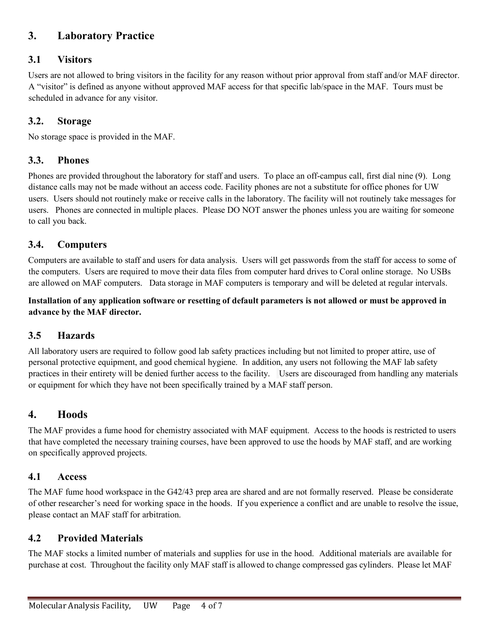# **3. Laboratory Practice**

## **3.1 Visitors**

Users are not allowed to bring visitors in the facility for any reason without prior approval from staff and/or MAF director. A "visitor" is defined as anyone without approved MAF access for that specific lab/space in the MAF. Tours must be scheduled in advance for any visitor.

## **3.2. Storage**

No storage space is provided in the MAF.

### **3.3. Phones**

Phones are provided throughout the laboratory for staff and users. To place an off-campus call, first dial nine (9). Long distance calls may not be made without an access code. Facility phones are not a substitute for office phones for UW users. Users should not routinely make or receive calls in the laboratory. The facility will not routinely take messages for users. Phones are connected in multiple places. Please DO NOT answer the phones unless you are waiting for someone to call you back.

### **3.4. Computers**

Computers are available to staff and users for data analysis. Users will get passwords from the staff for access to some of the computers. Users are required to move their data files from computer hard drives to Coral online storage. No USBs are allowed on MAF computers. Data storage in MAF computers is temporary and will be deleted at regular intervals.

#### **Installation of any application software or resetting of default parameters is not allowed or must be approved in advance by the MAF director.**

### **3.5 Hazards**

All laboratory users are required to follow good lab safety practices including but not limited to proper attire, use of personal protective equipment, and good chemical hygiene. In addition, any users not following the MAF lab safety practices in their entirety will be denied further access to the facility. Users are discouraged from handling any materials or equipment for which they have not been specifically trained by a MAF staff person.

## **4. Hoods**

The MAF provides a fume hood for chemistry associated with MAF equipment. Access to the hoods is restricted to users that have completed the necessary training courses, have been approved to use the hoods by MAF staff, and are working on specifically approved projects.

### **4.1 Access**

The MAF fume hood workspace in the G42/43 prep area are shared and are not formally reserved. Please be considerate of other researcher's need for working space in the hoods. If you experience a conflict and are unable to resolve the issue, please contact an MAF staff for arbitration.

### **4.2 Provided Materials**

The MAF stocks a limited number of materials and supplies for use in the hood. Additional materials are available for purchase at cost. Throughout the facility only MAF staff is allowed to change compressed gas cylinders. Please let MAF